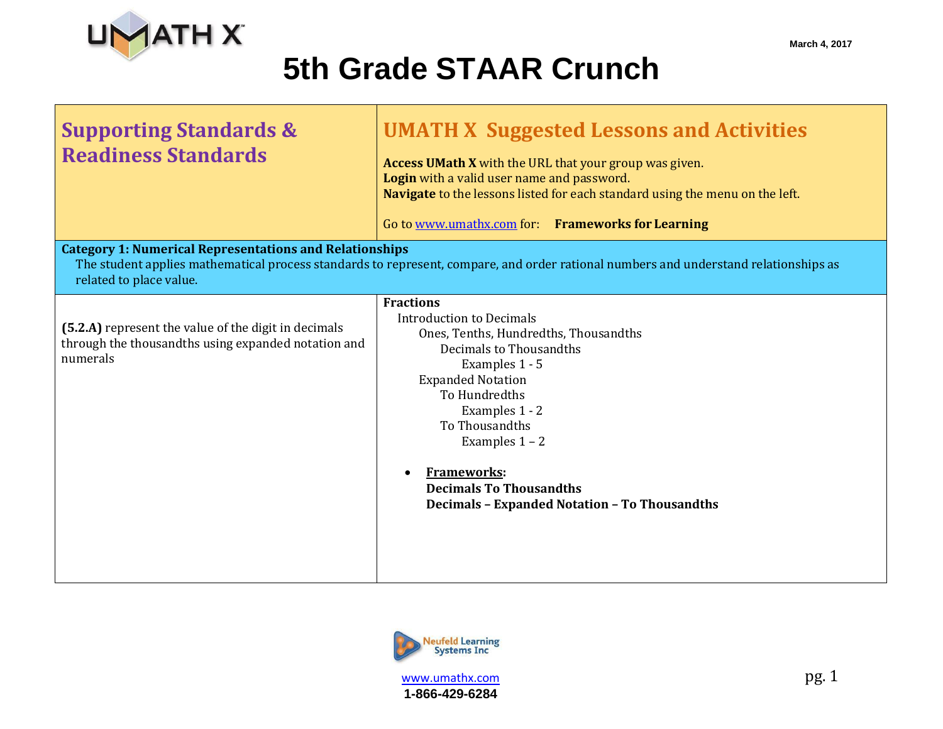

**Supporting Standards &** 

**Readiness Standards**

## **5th Grade STAAR Crunch**

| <b>UMATH X Suggested Lessons and Activities</b>                                                                                                                                                    |
|----------------------------------------------------------------------------------------------------------------------------------------------------------------------------------------------------|
| <b>Access UMath X</b> with the URL that your group was given.<br>Login with a valid user name and password.<br><b>Navigate</b> to the lessons listed for each standard using the menu on the left. |
| Go to www.umathx.com for: Frameworks for Learning                                                                                                                                                  |

#### **Category 1: Numerical Representations and Relationships**

The student applies mathematical process standards to represent, compare, and order rational numbers and understand relationships as related to place value.

| (5.2.A) represent the value of the digit in decimals |
|------------------------------------------------------|
| through the thousandths using expanded notation and  |
| numerals                                             |

#### **Fractions** Introduction to Decimals Ones, Tenths, Hundredths, Thousandths Decimals to Thousandths Examples 1 - 5 Expanded Notation To Hundredths Examples 1 - 2 To Thousandths Examples 1 – 2 **Frameworks:**

**Decimals To Thousandths Decimals – Expanded Notation – To Thousandths**

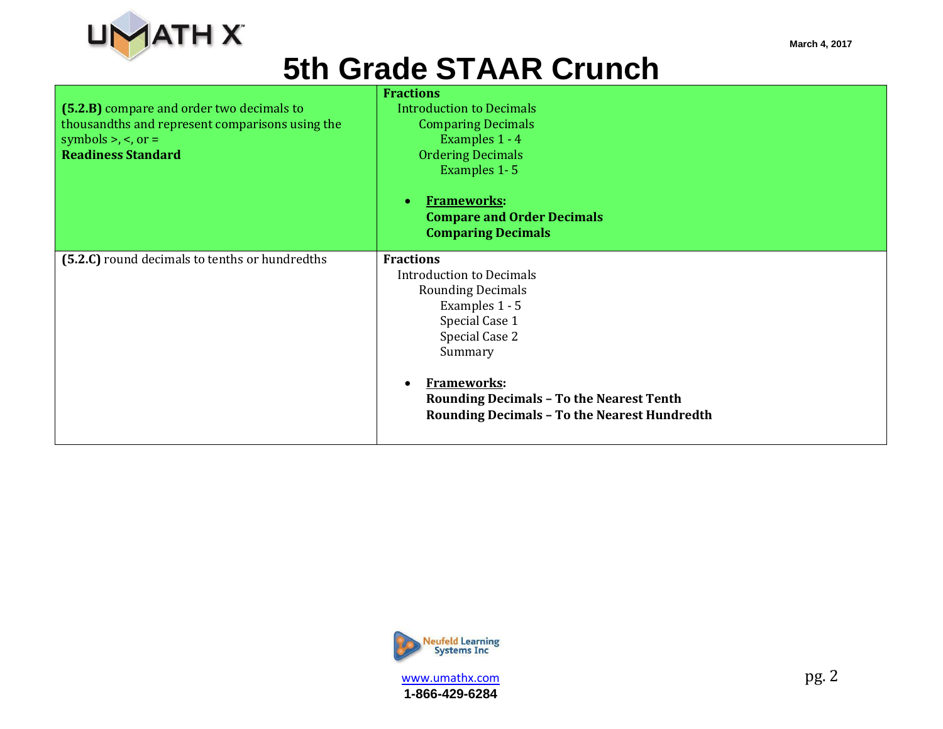

|                                                 | <b>Fractions</b>                                                                                                                          |
|-------------------------------------------------|-------------------------------------------------------------------------------------------------------------------------------------------|
| (5.2.B) compare and order two decimals to       | <b>Introduction to Decimals</b>                                                                                                           |
| thousandths and represent comparisons using the | <b>Comparing Decimals</b>                                                                                                                 |
| symbols $>$ , $\lt$ , or $=$                    | Examples 1 - 4                                                                                                                            |
| <b>Readiness Standard</b>                       | <b>Ordering Decimals</b>                                                                                                                  |
|                                                 | Examples 1-5                                                                                                                              |
|                                                 | <b>Frameworks:</b><br>$\bullet$                                                                                                           |
|                                                 | <b>Compare and Order Decimals</b>                                                                                                         |
|                                                 | <b>Comparing Decimals</b>                                                                                                                 |
| (5.2.C) round decimals to tenths or hundredths  | <b>Fractions</b>                                                                                                                          |
|                                                 | <b>Introduction to Decimals</b>                                                                                                           |
|                                                 | <b>Rounding Decimals</b>                                                                                                                  |
|                                                 | Examples 1 - 5                                                                                                                            |
|                                                 | Special Case 1                                                                                                                            |
|                                                 | Special Case 2                                                                                                                            |
|                                                 | Summary                                                                                                                                   |
|                                                 | <b>Frameworks:</b><br>$\bullet$<br><b>Rounding Decimals - To the Nearest Tenth</b><br><b>Rounding Decimals - To the Nearest Hundredth</b> |



www.umathx.com pg. 2 **1-866-429-6284**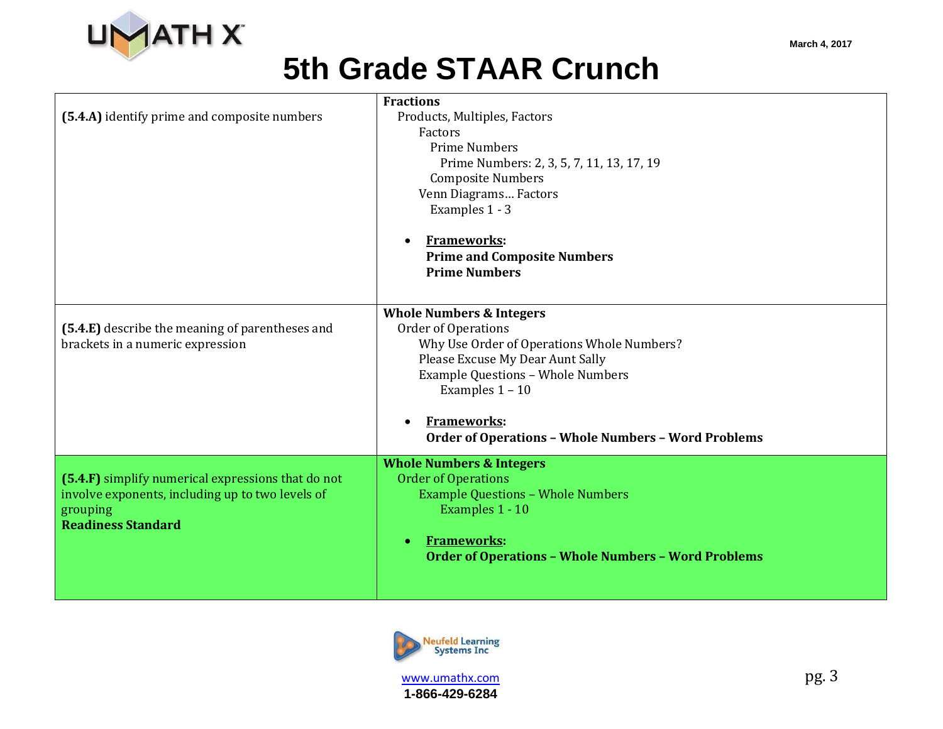

| (5.4.A) identify prime and composite numbers                                                                                                    | <b>Fractions</b><br>Products, Multiples, Factors<br>Factors<br><b>Prime Numbers</b><br>Prime Numbers: 2, 3, 5, 7, 11, 13, 17, 19<br><b>Composite Numbers</b><br>Venn Diagrams Factors<br>Examples 1 - 3<br><b>Frameworks:</b><br>$\bullet$<br><b>Prime and Composite Numbers</b><br><b>Prime Numbers</b>              |
|-------------------------------------------------------------------------------------------------------------------------------------------------|-----------------------------------------------------------------------------------------------------------------------------------------------------------------------------------------------------------------------------------------------------------------------------------------------------------------------|
| (5.4.E) describe the meaning of parentheses and<br>brackets in a numeric expression                                                             | <b>Whole Numbers &amp; Integers</b><br><b>Order of Operations</b><br>Why Use Order of Operations Whole Numbers?<br>Please Excuse My Dear Aunt Sally<br><b>Example Questions - Whole Numbers</b><br>Examples $1 - 10$<br><b>Frameworks:</b><br>$\bullet$<br><b>Order of Operations - Whole Numbers - Word Problems</b> |
| (5.4.F) simplify numerical expressions that do not<br>involve exponents, including up to two levels of<br>grouping<br><b>Readiness Standard</b> | <b>Whole Numbers &amp; Integers</b><br><b>Order of Operations</b><br><b>Example Questions - Whole Numbers</b><br>Examples 1 - 10<br><b>Frameworks:</b><br>$\bullet$<br><b>Order of Operations - Whole Numbers - Word Problems</b>                                                                                     |

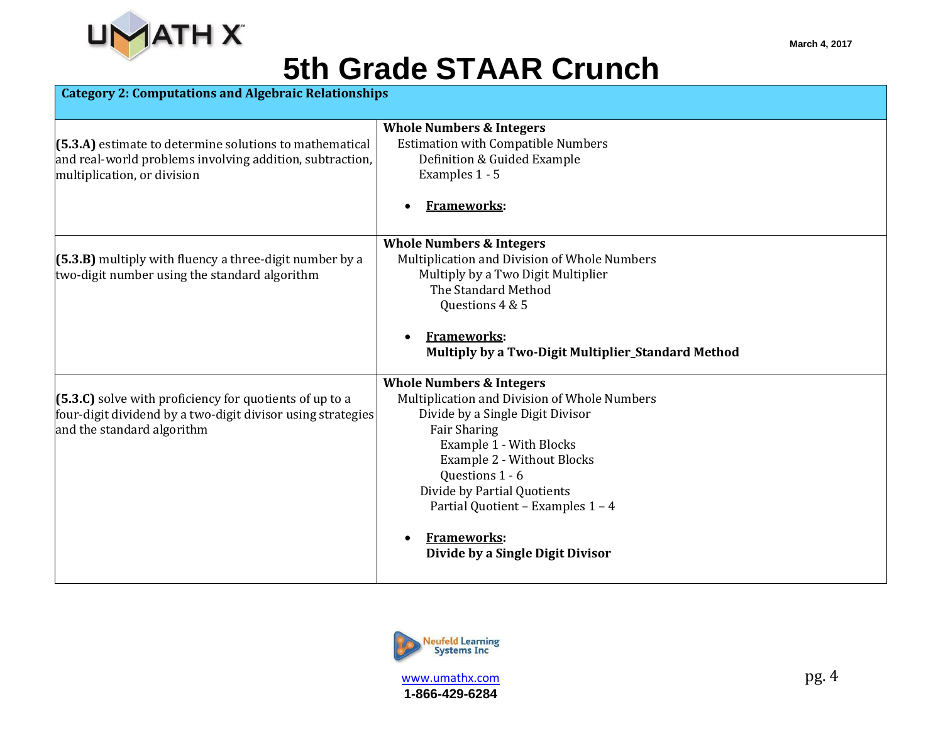

| <b>Category 2: Computations and Algebraic Relationships</b> |                                                        |
|-------------------------------------------------------------|--------------------------------------------------------|
|                                                             | <b>Whole Numbers &amp; Integers</b>                    |
| $(5.3.A)$ estimate to determine solutions to mathematical   | <b>Estimation with Compatible Numbers</b>              |
| and real-world problems involving addition, subtraction,    | Definition & Guided Example                            |
| multiplication, or division                                 | Examples 1 - 5                                         |
|                                                             |                                                        |
|                                                             | <b>Frameworks:</b>                                     |
|                                                             | <b>Whole Numbers &amp; Integers</b>                    |
| $(5.3.B)$ multiply with fluency a three-digit number by a   | Multiplication and Division of Whole Numbers           |
| two-digit number using the standard algorithm               | Multiply by a Two Digit Multiplier                     |
|                                                             | The Standard Method                                    |
|                                                             | Questions 4 & 5                                        |
|                                                             |                                                        |
|                                                             | <b>Frameworks:</b>                                     |
|                                                             | Multiply by a Two-Digit Multiplier_Standard Method     |
|                                                             | <b>Whole Numbers &amp; Integers</b>                    |
| $(5.3.C)$ solve with proficiency for quotients of up to a   | Multiplication and Division of Whole Numbers           |
| four-digit dividend by a two-digit divisor using strategies | Divide by a Single Digit Divisor                       |
| and the standard algorithm                                  | <b>Fair Sharing</b>                                    |
|                                                             | Example 1 - With Blocks                                |
|                                                             | Example 2 - Without Blocks                             |
|                                                             | Questions 1 - 6                                        |
|                                                             | Divide by Partial Quotients                            |
|                                                             | Partial Quotient - Examples 1 - 4                      |
|                                                             | <b>Frameworks:</b><br>Divide by a Single Digit Divisor |
|                                                             |                                                        |

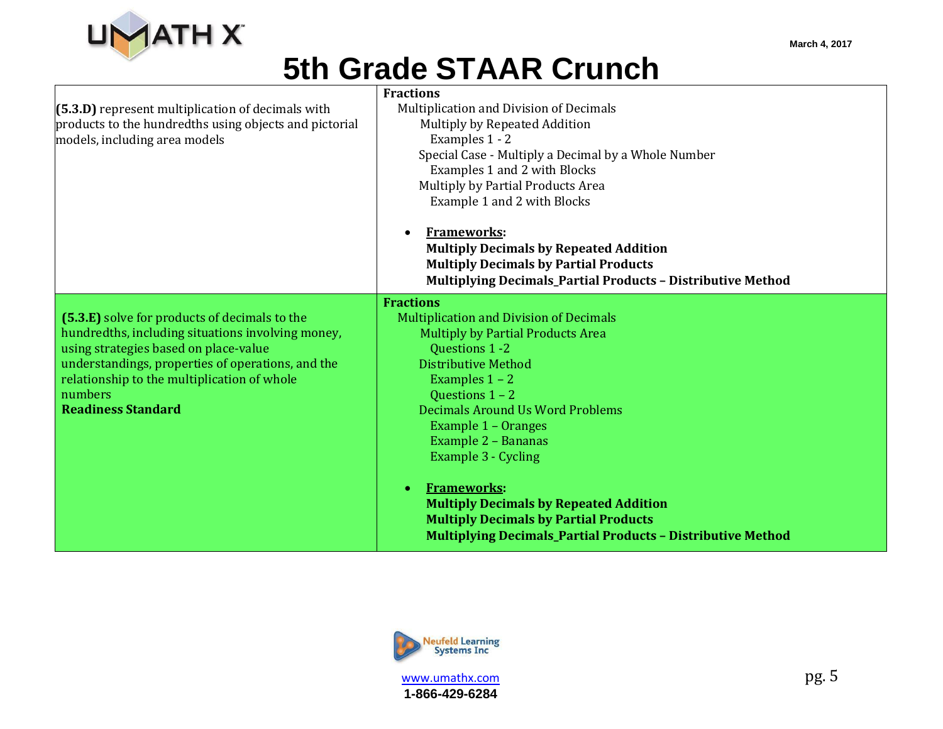

| (5.3.D) represent multiplication of decimals with<br>products to the hundredths using objects and pictorial<br>models, including area models                                                                                                                                            | <b>Fractions</b><br>Multiplication and Division of Decimals<br>Multiply by Repeated Addition<br>Examples 1 - 2<br>Special Case - Multiply a Decimal by a Whole Number<br>Examples 1 and 2 with Blocks<br>Multiply by Partial Products Area<br>Example 1 and 2 with Blocks<br>Frameworks:<br><b>Multiply Decimals by Repeated Addition</b><br><b>Multiply Decimals by Partial Products</b><br>Multiplying Decimals_Partial Products - Distributive Method                                                    |
|-----------------------------------------------------------------------------------------------------------------------------------------------------------------------------------------------------------------------------------------------------------------------------------------|-------------------------------------------------------------------------------------------------------------------------------------------------------------------------------------------------------------------------------------------------------------------------------------------------------------------------------------------------------------------------------------------------------------------------------------------------------------------------------------------------------------|
| (5.3.E) solve for products of decimals to the<br>hundredths, including situations involving money,<br>using strategies based on place-value<br>understandings, properties of operations, and the<br>relationship to the multiplication of whole<br>numbers<br><b>Readiness Standard</b> | <b>Fractions</b><br><b>Multiplication and Division of Decimals</b><br><b>Multiply by Partial Products Area</b><br>Questions 1 -2<br><b>Distributive Method</b><br>Examples $1 - 2$<br>Questions 1 - 2<br>Decimals Around Us Word Problems<br>Example 1 - Oranges<br>Example 2 - Bananas<br>Example 3 - Cycling<br><b>Frameworks:</b><br><b>Multiply Decimals by Repeated Addition</b><br><b>Multiply Decimals by Partial Products</b><br><b>Multiplying Decimals_Partial Products - Distributive Method</b> |



**1-866-429-6284**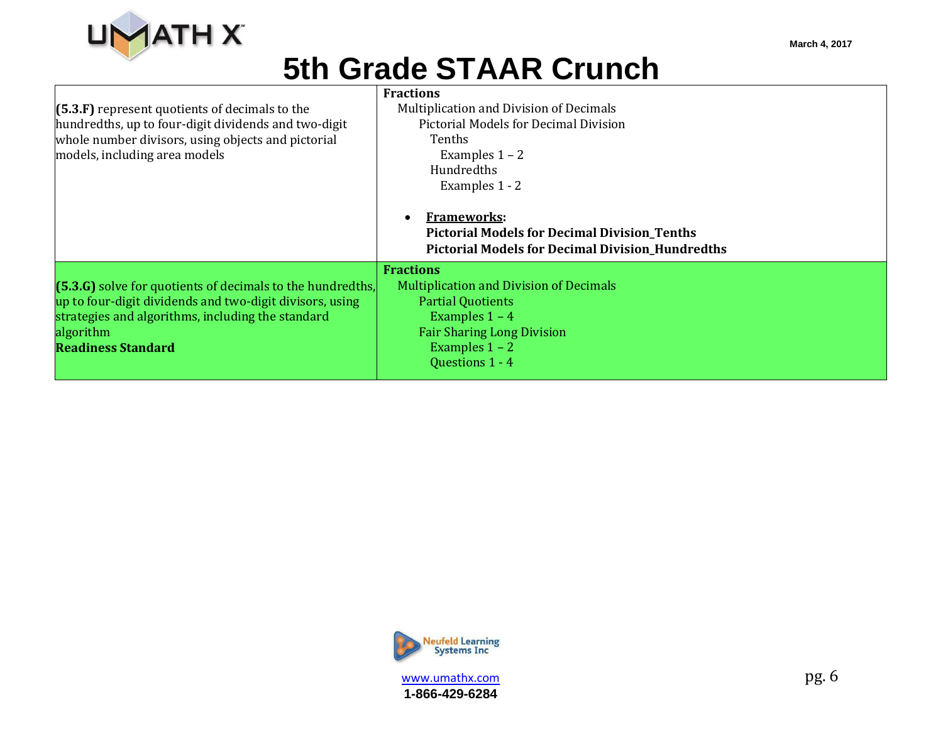

| (5.3.F) represent quotients of decimals to the<br>hundredths, up to four-digit dividends and two-digit<br>whole number divisors, using objects and pictorial<br>models, including area models                         | <b>Fractions</b><br>Multiplication and Division of Decimals<br><b>Pictorial Models for Decimal Division</b><br><b>Tenths</b><br>Examples $1 - 2$<br><b>Hundredths</b><br>Examples 1 - 2<br><b>Frameworks:</b><br><b>Pictorial Models for Decimal Division_Tenths</b><br><b>Pictorial Models for Decimal Division_Hundredths</b> |
|-----------------------------------------------------------------------------------------------------------------------------------------------------------------------------------------------------------------------|---------------------------------------------------------------------------------------------------------------------------------------------------------------------------------------------------------------------------------------------------------------------------------------------------------------------------------|
| (5.3.G) solve for quotients of decimals to the hundredths,<br>up to four-digit dividends and two-digit divisors, using<br>strategies and algorithms, including the standard<br>algorithm<br><b>Readiness Standard</b> | <b>Fractions</b><br><b>Multiplication and Division of Decimals</b><br><b>Partial Quotients</b><br>Examples $1 - 4$<br><b>Fair Sharing Long Division</b><br>Examples $1 - 2$<br>Questions 1 - 4                                                                                                                                  |



www.umathx.com pg. 6 **1-866-429-6284**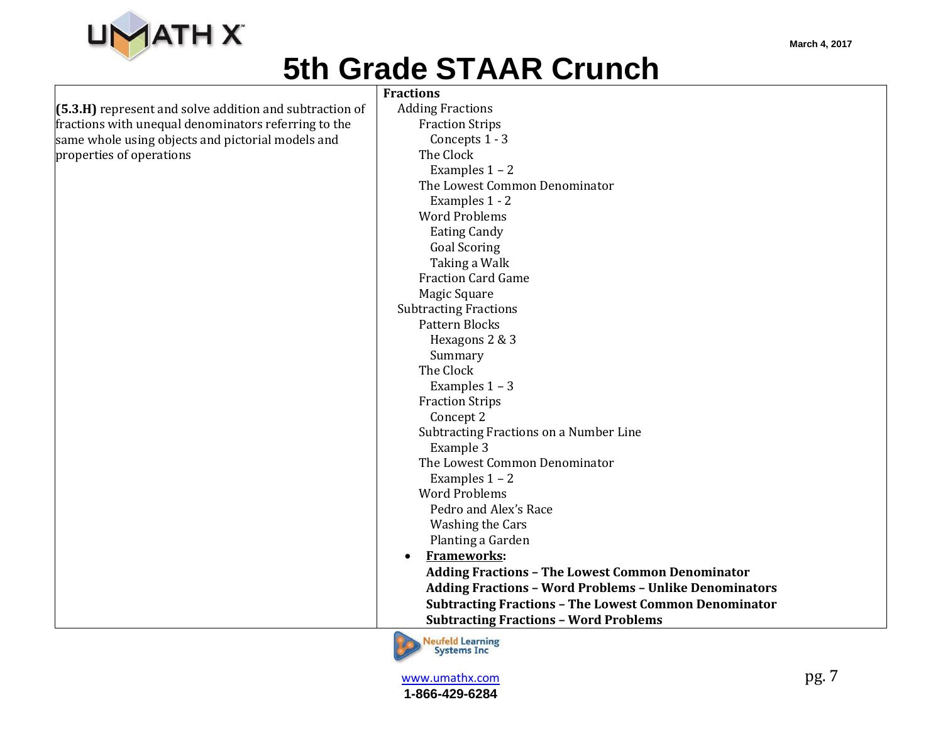

|                                                           | <b>Fractions</b>                                              |
|-----------------------------------------------------------|---------------------------------------------------------------|
| $(5.3.H)$ represent and solve addition and subtraction of | <b>Adding Fractions</b>                                       |
| fractions with unequal denominators referring to the      | <b>Fraction Strips</b>                                        |
| same whole using objects and pictorial models and         | Concepts 1 - 3                                                |
| properties of operations                                  | The Clock                                                     |
|                                                           | Examples $1 - 2$                                              |
|                                                           | The Lowest Common Denominator                                 |
|                                                           | Examples 1 - 2                                                |
|                                                           | <b>Word Problems</b>                                          |
|                                                           | <b>Eating Candy</b>                                           |
|                                                           | <b>Goal Scoring</b>                                           |
|                                                           | Taking a Walk                                                 |
|                                                           | <b>Fraction Card Game</b>                                     |
|                                                           | Magic Square                                                  |
|                                                           | <b>Subtracting Fractions</b>                                  |
|                                                           | <b>Pattern Blocks</b>                                         |
|                                                           | Hexagons 2 & 3                                                |
|                                                           | Summary                                                       |
|                                                           | The Clock                                                     |
|                                                           | Examples $1 - 3$                                              |
|                                                           | <b>Fraction Strips</b>                                        |
|                                                           | Concept 2                                                     |
|                                                           | Subtracting Fractions on a Number Line                        |
|                                                           | Example 3                                                     |
|                                                           | The Lowest Common Denominator                                 |
|                                                           | Examples $1 - 2$                                              |
|                                                           | <b>Word Problems</b>                                          |
|                                                           | Pedro and Alex's Race                                         |
|                                                           | Washing the Cars                                              |
|                                                           | Planting a Garden                                             |
|                                                           | <b>Frameworks:</b><br>$\bullet$                               |
|                                                           | <b>Adding Fractions - The Lowest Common Denominator</b>       |
|                                                           | <b>Adding Fractions - Word Problems - Unlike Denominators</b> |
|                                                           | <b>Subtracting Fractions - The Lowest Common Denominator</b>  |
|                                                           | <b>Subtracting Fractions - Word Problems</b>                  |
|                                                           | <b>All and Call at The Committee</b>                          |

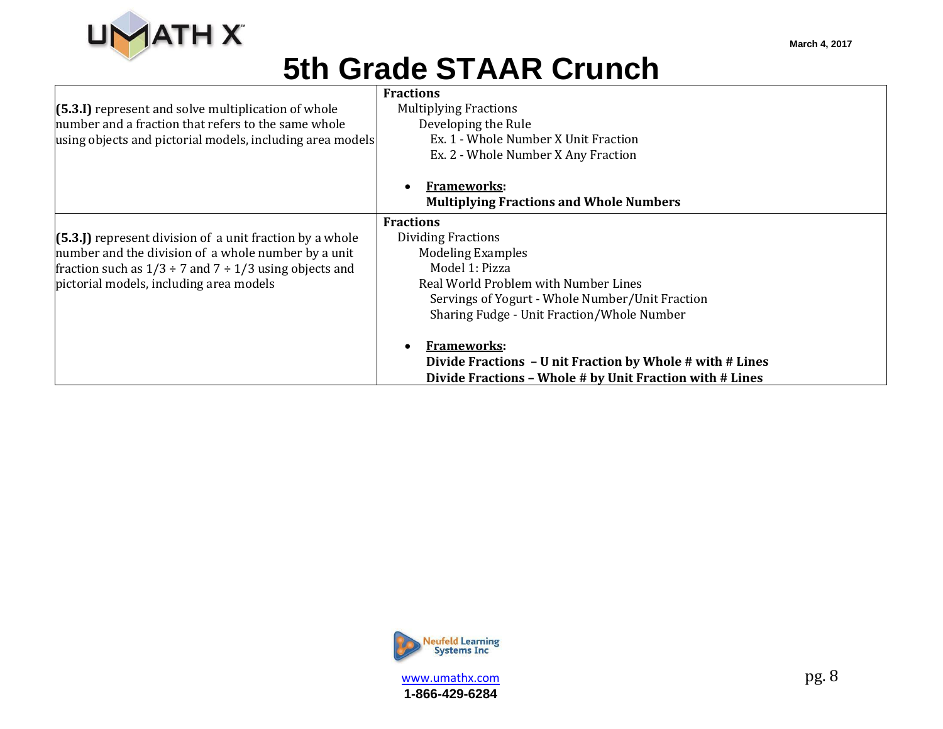

|                                                                  | <b>Fractions</b>                                                                                                                            |
|------------------------------------------------------------------|---------------------------------------------------------------------------------------------------------------------------------------------|
| $(5.3.1)$ represent and solve multiplication of whole            | <b>Multiplying Fractions</b>                                                                                                                |
| number and a fraction that refers to the same whole              | Developing the Rule                                                                                                                         |
| using objects and pictorial models, including area models        | Ex. 1 - Whole Number X Unit Fraction                                                                                                        |
|                                                                  | Ex. 2 - Whole Number X Any Fraction                                                                                                         |
|                                                                  | <b>Frameworks:</b>                                                                                                                          |
|                                                                  | <b>Multiplying Fractions and Whole Numbers</b>                                                                                              |
|                                                                  | <b>Fractions</b>                                                                                                                            |
| $(5.3)$ represent division of a unit fraction by a whole         | Dividing Fractions                                                                                                                          |
| number and the division of a whole number by a unit              | <b>Modeling Examples</b>                                                                                                                    |
| fraction such as $1/3 \div 7$ and $7 \div 1/3$ using objects and | Model 1: Pizza                                                                                                                              |
| pictorial models, including area models                          | Real World Problem with Number Lines                                                                                                        |
|                                                                  | Servings of Yogurt - Whole Number/Unit Fraction                                                                                             |
|                                                                  | Sharing Fudge - Unit Fraction/Whole Number                                                                                                  |
|                                                                  |                                                                                                                                             |
|                                                                  |                                                                                                                                             |
|                                                                  |                                                                                                                                             |
|                                                                  | <b>Frameworks:</b><br>Divide Fractions - U nit Fraction by Whole # with # Lines<br>Divide Fractions - Whole # by Unit Fraction with # Lines |



www.umathx.com pg. 8 **1-866-429-6284**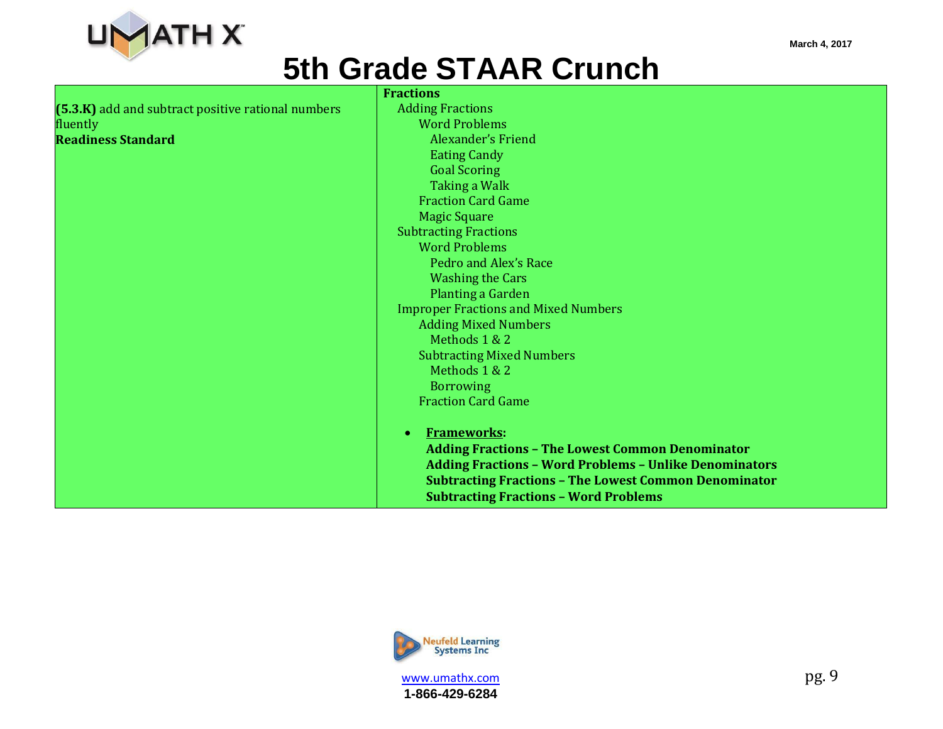

|                                                      | <b>Fractions</b>                                              |
|------------------------------------------------------|---------------------------------------------------------------|
| $(5.3.K)$ add and subtract positive rational numbers | <b>Adding Fractions</b>                                       |
| fluently                                             | <b>Word Problems</b>                                          |
| <b>Readiness Standard</b>                            | <b>Alexander's Friend</b>                                     |
|                                                      | <b>Eating Candy</b>                                           |
|                                                      | <b>Goal Scoring</b>                                           |
|                                                      | Taking a Walk                                                 |
|                                                      | <b>Fraction Card Game</b>                                     |
|                                                      | <b>Magic Square</b>                                           |
|                                                      | <b>Subtracting Fractions</b>                                  |
|                                                      | <b>Word Problems</b>                                          |
|                                                      | Pedro and Alex's Race                                         |
|                                                      | <b>Washing the Cars</b>                                       |
|                                                      | Planting a Garden                                             |
|                                                      | <b>Improper Fractions and Mixed Numbers</b>                   |
|                                                      | <b>Adding Mixed Numbers</b>                                   |
|                                                      | Methods 1 & 2                                                 |
|                                                      | <b>Subtracting Mixed Numbers</b>                              |
|                                                      | Methods 1 & 2                                                 |
|                                                      | <b>Borrowing</b>                                              |
|                                                      | <b>Fraction Card Game</b>                                     |
|                                                      |                                                               |
|                                                      | <b>Frameworks:</b><br>$\bullet$                               |
|                                                      | <b>Adding Fractions - The Lowest Common Denominator</b>       |
|                                                      | <b>Adding Fractions - Word Problems - Unlike Denominators</b> |
|                                                      | <b>Subtracting Fractions - The Lowest Common Denominator</b>  |
|                                                      | <b>Subtracting Fractions - Word Problems</b>                  |

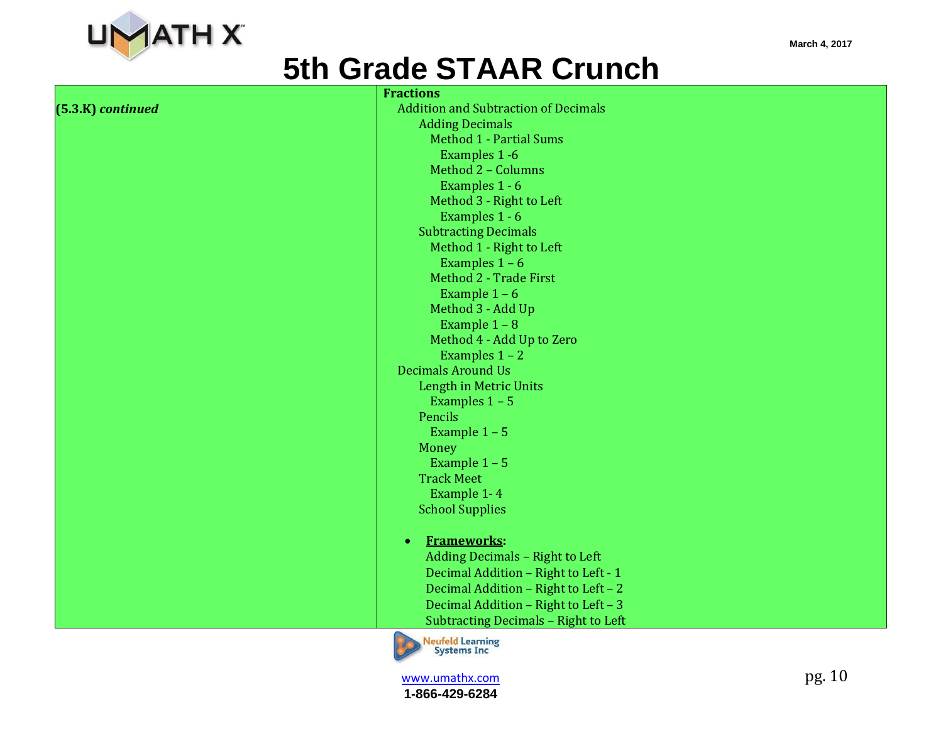

**(5.3.K)** *continued*

|                      | <b>Fractions</b>                              |
|----------------------|-----------------------------------------------|
| <b>(B)</b> continued | <b>Addition and Subtraction of Decimals</b>   |
|                      | <b>Adding Decimals</b>                        |
|                      | <b>Method 1 - Partial Sums</b>                |
|                      | Examples 1 -6                                 |
|                      | Method 2 - Columns                            |
|                      | Examples 1 - 6                                |
|                      | Method 3 - Right to Left                      |
|                      | Examples 1 - 6                                |
|                      | <b>Subtracting Decimals</b>                   |
|                      | Method 1 - Right to Left                      |
|                      | Examples $1 - 6$                              |
|                      | Method 2 - Trade First                        |
|                      | Example $1 - 6$                               |
|                      | Method 3 - Add Up                             |
|                      | Example $1 - 8$                               |
|                      | Method 4 - Add Up to Zero                     |
|                      | Examples $1 - 2$                              |
|                      | <b>Decimals Around Us</b>                     |
|                      | Length in Metric Units                        |
|                      | Examples $1 - 5$                              |
|                      | Pencils                                       |
|                      | Example $1 - 5$                               |
|                      | Money                                         |
|                      | Example $1 - 5$                               |
|                      | <b>Track Meet</b>                             |
|                      | Example 1-4                                   |
|                      | <b>School Supplies</b>                        |
|                      | <b>Frameworks:</b><br>$\bullet$               |
|                      | Adding Decimals - Right to Left               |
|                      | Decimal Addition - Right to Left - 1          |
|                      | Decimal Addition - Right to Left - 2          |
|                      | Decimal Addition - Right to Left - 3          |
|                      | Subtracting Decimals - Right to Left          |
|                      | <b>Neufeld Learning</b><br><b>Systems Inc</b> |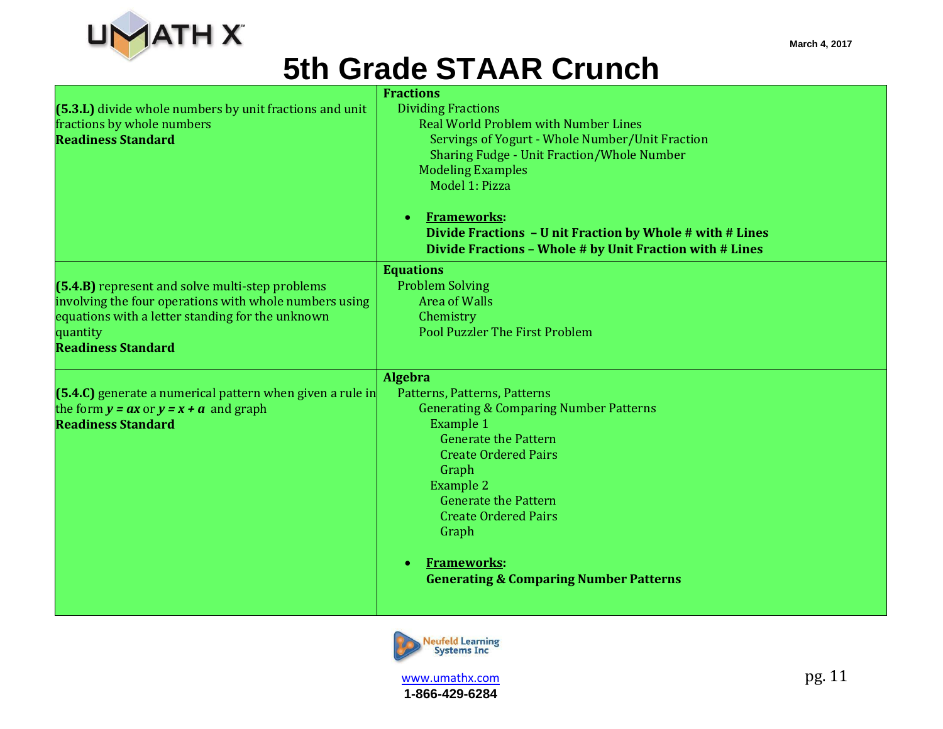

| (5.3.L) divide whole numbers by unit fractions and unit<br>fractions by whole numbers<br><b>Readiness Standard</b>                                                                                     | <b>Fractions</b><br><b>Dividing Fractions</b><br><b>Real World Problem with Number Lines</b><br>Servings of Yogurt - Whole Number/Unit Fraction<br><b>Sharing Fudge - Unit Fraction/Whole Number</b><br><b>Modeling Examples</b><br>Model 1: Pizza<br><b>Frameworks:</b><br>$\bullet$<br>Divide Fractions - U nit Fraction by Whole # with # Lines            |
|--------------------------------------------------------------------------------------------------------------------------------------------------------------------------------------------------------|---------------------------------------------------------------------------------------------------------------------------------------------------------------------------------------------------------------------------------------------------------------------------------------------------------------------------------------------------------------|
|                                                                                                                                                                                                        | Divide Fractions - Whole # by Unit Fraction with # Lines<br><b>Equations</b>                                                                                                                                                                                                                                                                                  |
| (5.4.B) represent and solve multi-step problems<br>involving the four operations with whole numbers using<br>equations with a letter standing for the unknown<br>quantity<br><b>Readiness Standard</b> | <b>Problem Solving</b><br><b>Area of Walls</b><br>Chemistry<br><b>Pool Puzzler The First Problem</b>                                                                                                                                                                                                                                                          |
| $(5.4.C)$ generate a numerical pattern when given a rule in<br>the form $y = ax$ or $y = x + a$ and graph<br><b>Readiness Standard</b>                                                                 | Algebra<br>Patterns, Patterns, Patterns<br><b>Generating &amp; Comparing Number Patterns</b><br><b>Example 1</b><br><b>Generate the Pattern</b><br><b>Create Ordered Pairs</b><br>Graph<br><b>Example 2</b><br><b>Generate the Pattern</b><br><b>Create Ordered Pairs</b><br>Graph<br><b>Frameworks:</b><br><b>Generating &amp; Comparing Number Patterns</b> |

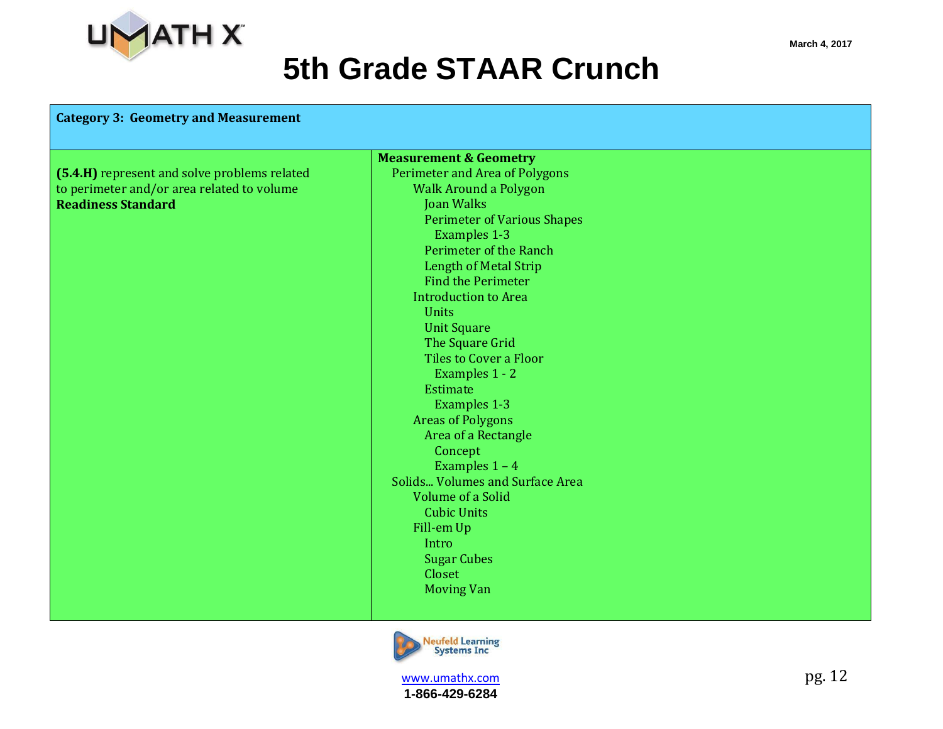

## **5th Grade S**

| ade STAAR Crunch                   |  |
|------------------------------------|--|
|                                    |  |
| <b>Measurement &amp; Geometry</b>  |  |
| Perimeter and Area of Polygons     |  |
| <b>Walk Around a Polygon</b>       |  |
| <b>Joan Walks</b>                  |  |
| <b>Perimeter of Various Shapes</b> |  |
| <b>Examples 1-3</b>                |  |
|                                    |  |

**(5.4.H)** represent and solve problems related to perimeter and/or area related to volume **Readiness Standard**

**Category 3: Geometry and Measurement**

| JULI TTULLI                            |
|----------------------------------------|
| <b>Perimeter of Various Shapes</b>     |
| <b>Examples 1-3</b>                    |
| Perimeter of the Ranch                 |
| <b>Length of Metal Strip</b>           |
| <b>Find the Perimeter</b>              |
| Introduction to Area                   |
| Units                                  |
| <b>Unit Square</b>                     |
| The Square Grid                        |
| Tiles to Cover a Floor                 |
| Examples 1 - 2                         |
| Estimate                               |
| <b>Examples 1-3</b>                    |
| <b>Areas of Polygons</b>               |
| Area of a Rectangle                    |
| Concept                                |
| Examples $1 - 4$                       |
| <b>Solids Volumes and Surface Area</b> |
| <b>Volume of a Solid</b>               |
| <b>Cubic Units</b>                     |
| Fill-em Up                             |
| Intro                                  |
| <b>Sugar Cubes</b>                     |
| Closet                                 |
| <b>Moving Van</b>                      |
|                                        |



**www.umathx.com** pg. 12 **1-866-429-6284**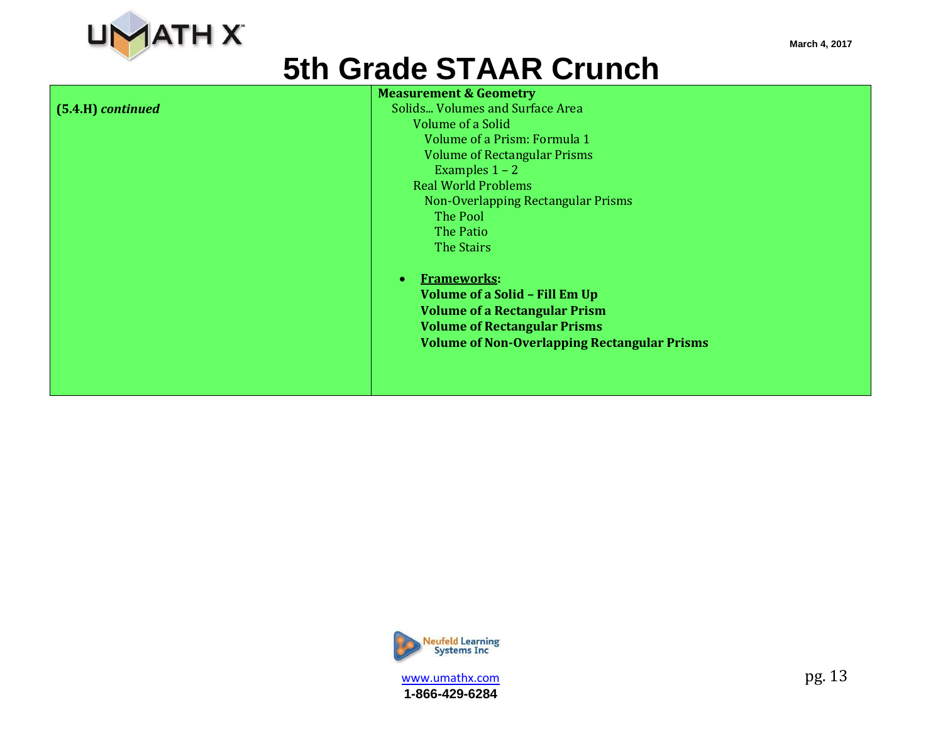

|                   | <b>Measurement &amp; Geometry</b>                   |
|-------------------|-----------------------------------------------------|
| (5.4.H) continued | Solids Volumes and Surface Area                     |
|                   | <b>Volume of a Solid</b>                            |
|                   | Volume of a Prism: Formula 1                        |
|                   | <b>Volume of Rectangular Prisms</b>                 |
|                   | Examples $1 - 2$                                    |
|                   | <b>Real World Problems</b>                          |
|                   | Non-Overlapping Rectangular Prisms                  |
|                   | The Pool                                            |
|                   | The Patio                                           |
|                   | The Stairs                                          |
|                   | <b>Frameworks:</b>                                  |
|                   | <b>Volume of a Solid - Fill Em Up</b>               |
|                   | <b>Volume of a Rectangular Prism</b>                |
|                   | <b>Volume of Rectangular Prisms</b>                 |
|                   | <b>Volume of Non-Overlapping Rectangular Prisms</b> |
|                   |                                                     |
|                   |                                                     |
|                   |                                                     |
|                   |                                                     |



www.umathx.com pg. 13 **1-866-429-6284**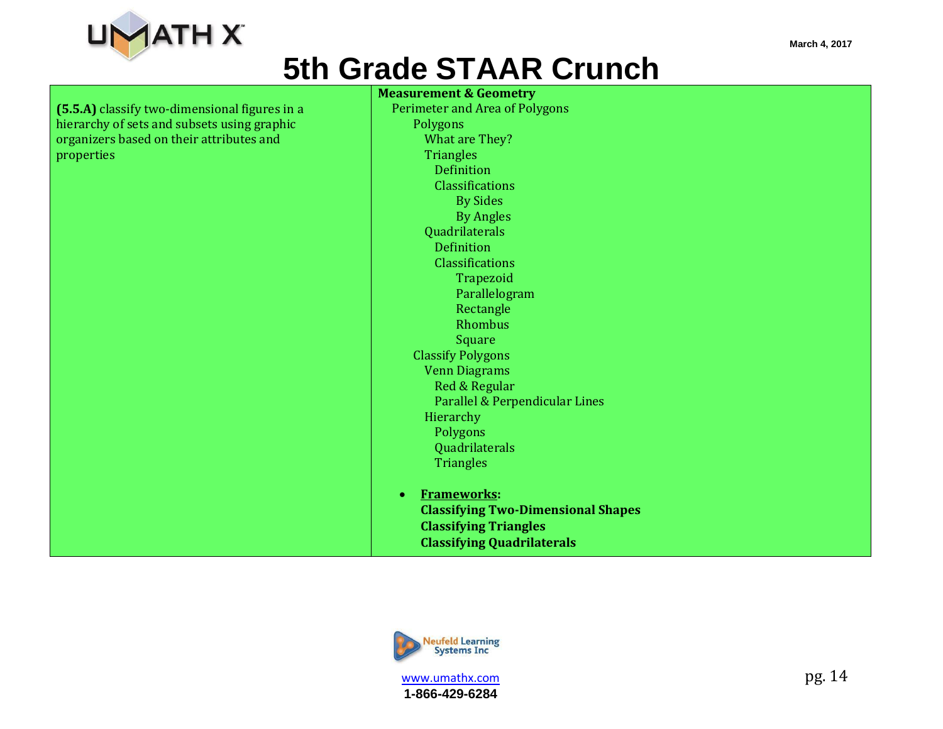

**(5.5.A)** classify two-dimensional figures in a hierarchy of sets and subsets using graphic organizers based on their attributes and properties

**Measurement & Geometry** Perimeter and Area of Polygons Polygons What are They? **Triangles** Definition Classifications By Sides By Angles Quadrilaterals Definition **Classifications** Trapezoid Parallelogram Rectangle Rhombus Square Classify Polygons Venn Diagrams Red & Regular Parallel & Perpendicular Lines Hierarchy Polygons Quadrilaterals **Triangles Frameworks: Classifying Two-Dimensional Shapes Classifying Triangles**





**1-866-429-6284**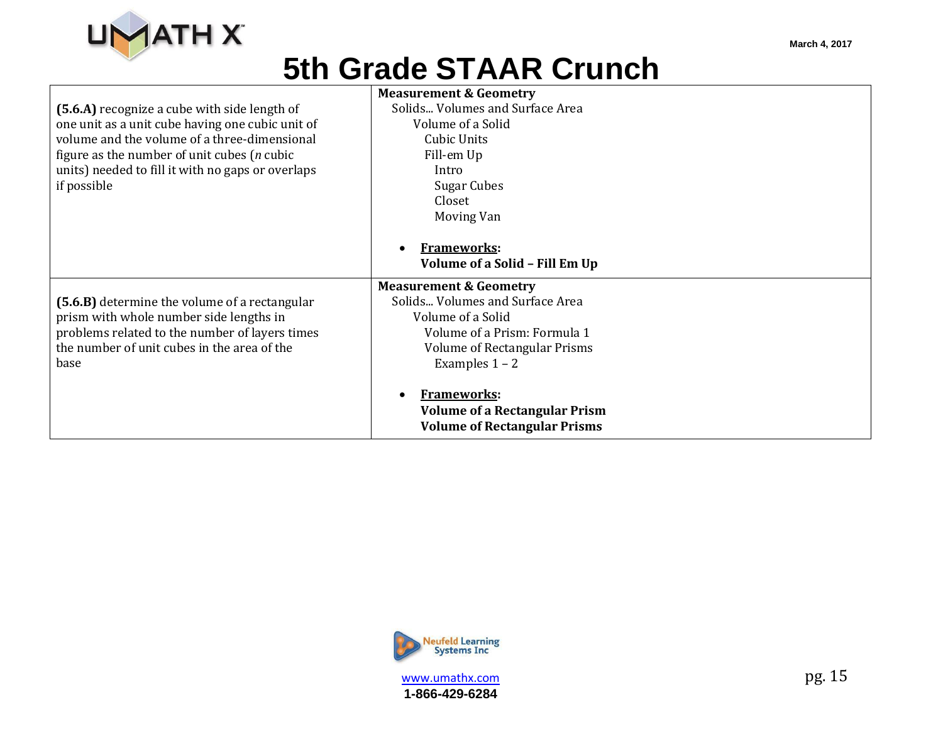

|                                                   | <b>Measurement &amp; Geometry</b>    |
|---------------------------------------------------|--------------------------------------|
| (5.6.A) recognize a cube with side length of      | Solids Volumes and Surface Area      |
| one unit as a unit cube having one cubic unit of  | Volume of a Solid                    |
| volume and the volume of a three-dimensional      | Cubic Units                          |
| figure as the number of unit cubes ( $n$ cubic    | Fill-em Up                           |
| units) needed to fill it with no gaps or overlaps | Intro                                |
| if possible                                       | Sugar Cubes                          |
|                                                   | Closet                               |
|                                                   | Moving Van                           |
|                                                   |                                      |
|                                                   | <b>Frameworks:</b>                   |
|                                                   | Volume of a Solid - Fill Em Up       |
|                                                   | <b>Measurement &amp; Geometry</b>    |
| (5.6.B) determine the volume of a rectangular     | Solids Volumes and Surface Area      |
| prism with whole number side lengths in           | Volume of a Solid                    |
| problems related to the number of layers times    | Volume of a Prism: Formula 1         |
| the number of unit cubes in the area of the       | Volume of Rectangular Prisms         |
| base                                              | Examples $1 - 2$                     |
|                                                   |                                      |
|                                                   | <b>Frameworks:</b>                   |
|                                                   | <b>Volume of a Rectangular Prism</b> |
|                                                   | <b>Volume of Rectangular Prisms</b>  |



www.umathx.com pg. 15 **1-866-429-6284**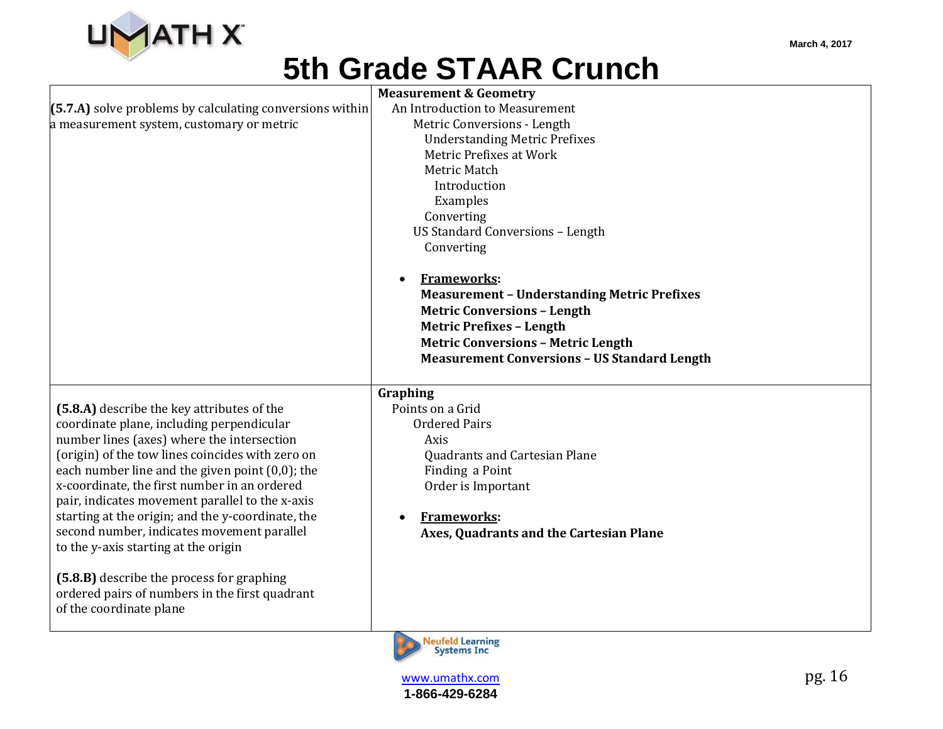

|                                                          | <b>Measurement &amp; Geometry</b>                   |
|----------------------------------------------------------|-----------------------------------------------------|
| (5.7.A) solve problems by calculating conversions within | An Introduction to Measurement                      |
| a measurement system, customary or metric                | Metric Conversions - Length                         |
|                                                          | <b>Understanding Metric Prefixes</b>                |
|                                                          | Metric Prefixes at Work                             |
|                                                          | Metric Match                                        |
|                                                          | Introduction                                        |
|                                                          | Examples                                            |
|                                                          | Converting                                          |
|                                                          | <b>US Standard Conversions - Length</b>             |
|                                                          | Converting                                          |
|                                                          |                                                     |
|                                                          | <b>Frameworks:</b>                                  |
|                                                          | <b>Measurement - Understanding Metric Prefixes</b>  |
|                                                          | <b>Metric Conversions - Length</b>                  |
|                                                          | <b>Metric Prefixes - Length</b>                     |
|                                                          | <b>Metric Conversions - Metric Length</b>           |
|                                                          | <b>Measurement Conversions - US Standard Length</b> |
|                                                          |                                                     |
|                                                          | Graphing                                            |
| (5.8.A) describe the key attributes of the               | Points on a Grid                                    |
| coordinate plane, including perpendicular                | <b>Ordered Pairs</b>                                |
| number lines (axes) where the intersection               | Axis                                                |
| (origin) of the tow lines coincides with zero on         | <b>Quadrants and Cartesian Plane</b>                |
| each number line and the given point $(0,0)$ ; the       | Finding a Point                                     |
| x-coordinate, the first number in an ordered             | Order is Important                                  |
| pair, indicates movement parallel to the x-axis          |                                                     |
| starting at the origin; and the y-coordinate, the        | <b>Frameworks:</b>                                  |
| second number, indicates movement parallel               | Axes, Quadrants and the Cartesian Plane             |
| to the y-axis starting at the origin                     |                                                     |
|                                                          |                                                     |
| (5.8.B) describe the process for graphing                |                                                     |
| ordered pairs of numbers in the first quadrant           |                                                     |
| of the coordinate plane                                  |                                                     |
|                                                          |                                                     |
|                                                          | <b>Neufeld Learning</b>                             |
|                                                          | <b>Systems Inc</b>                                  |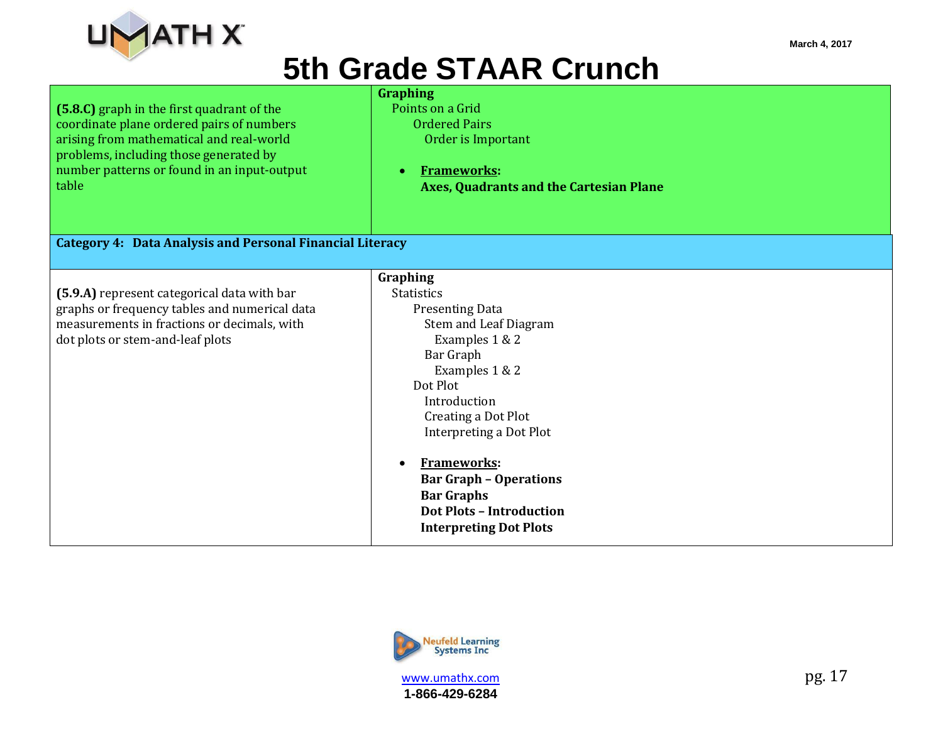

| (5.8.C) graph in the first quadrant of the                       | <b>Graphing</b><br>Points on a Grid            |
|------------------------------------------------------------------|------------------------------------------------|
| coordinate plane ordered pairs of numbers                        | <b>Ordered Pairs</b>                           |
| arising from mathematical and real-world                         | Order is Important                             |
| problems, including those generated by                           |                                                |
| number patterns or found in an input-output                      | <b>Frameworks:</b><br>$\bullet$                |
| table                                                            |                                                |
|                                                                  | <b>Axes, Quadrants and the Cartesian Plane</b> |
|                                                                  |                                                |
|                                                                  |                                                |
| <b>Category 4: Data Analysis and Personal Financial Literacy</b> |                                                |
|                                                                  |                                                |
|                                                                  | Graphing                                       |
| (5.9.A) represent categorical data with bar                      | <b>Statistics</b>                              |
| graphs or frequency tables and numerical data                    | <b>Presenting Data</b>                         |
| measurements in fractions or decimals, with                      | Stem and Leaf Diagram                          |
| dot plots or stem-and-leaf plots                                 | Examples 1 & 2                                 |
|                                                                  | Bar Graph                                      |
|                                                                  | Examples 1 & 2                                 |
|                                                                  | Dot Plot                                       |
|                                                                  | Introduction                                   |
|                                                                  | Creating a Dot Plot                            |
|                                                                  | Interpreting a Dot Plot                        |
|                                                                  |                                                |
|                                                                  | <b>Frameworks:</b><br>$\bullet$                |
|                                                                  | <b>Bar Graph - Operations</b>                  |
|                                                                  | <b>Bar Graphs</b>                              |
|                                                                  | <b>Dot Plots - Introduction</b>                |
|                                                                  | <b>Interpreting Dot Plots</b>                  |
|                                                                  |                                                |